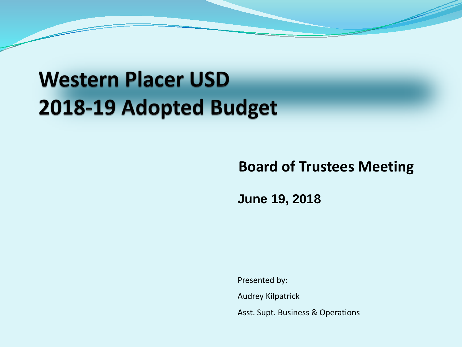## **Western Placer USD** 2018-19 Adopted Budget

#### **Board of Trustees Meeting**

**June 19, 2018**

Presented by: Audrey Kilpatrick Asst. Supt. Business & Operations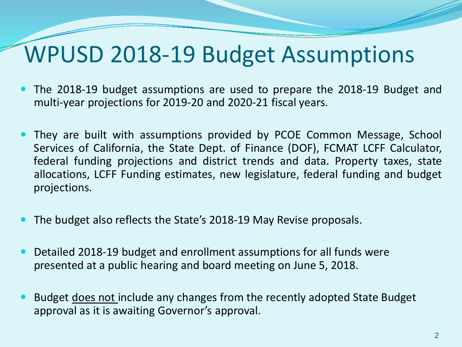## WPUSD 2018-19 Budget Assumptions

- The 2018-19 budget assumptions are used to prepare the 2018-19 Budget and multi-year projections for 2019-20 and 2020-21 fiscal years.
- They are built with assumptions provided by PCOE Common Message, School Services of California, the State Dept. of Finance (DOF), FCMAT LCFF Calculator, federal funding projections and district trends and data. Property taxes, state allocations, LCFF Funding estimates, new legislature, federal funding and budget projections.
- The budget also reflects the State's 2018-19 May Revise proposals.
- Detailed 2018-19 budget and enrollment assumptions for all funds were presented at a public hearing and board meeting on June 5, 2018.
- Budget does not include any changes from the recently adopted State Budget approval as it is awaiting Governor's approval.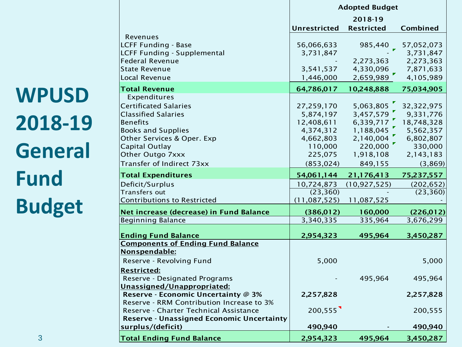|                |                                                              | <b>Adopted Budget</b> |                   |                        |  |
|----------------|--------------------------------------------------------------|-----------------------|-------------------|------------------------|--|
|                |                                                              |                       | 2018-19           |                        |  |
|                |                                                              | <b>Unrestricted</b>   | <b>Restricted</b> | Combined               |  |
|                | Revenues                                                     |                       |                   |                        |  |
|                | <b>LCFF Funding - Base</b>                                   | 56,066,633            | 985,440           | 57,052,073             |  |
|                | <b>LCFF Funding - Supplemental</b><br><b>Federal Revenue</b> | 3,731,847             | 2,273,363         | 3,731,847<br>2,273,363 |  |
|                | <b>State Revenue</b>                                         | 3,541,537             | 4,330,096         | 7,871,633              |  |
|                | Local Revenue                                                | 1,446,000             | 2,659,989         | 4,105,989              |  |
|                | <b>Total Revenue</b>                                         | 64,786,017            | 10,248,888        | 75,034,905             |  |
| <b>WPUSD</b>   | Expenditures                                                 |                       |                   |                        |  |
|                | <b>Certificated Salaries</b>                                 | 27,259,170            | 5,063,805         | 32,322,975             |  |
|                | <b>Classified Salaries</b>                                   | 5,874,197             | 3,457,579         | 9,331,776              |  |
| 2018-19        | <b>Benefits</b>                                              | 12,408,611            | 6,339,717         | 18,748,328             |  |
|                | <b>Books and Supplies</b>                                    | 4,374,312             | 1,188,045         | 5,562,357              |  |
|                | Other Services & Oper. Exp                                   | 4,662,803             | 2,140,004         | 6,802,807              |  |
| <b>General</b> | Capital Outlay                                               | 110,000               | 220,000           | 330,000                |  |
|                | Other Outgo 7xxx                                             | 225,075               | 1,918,108         | 2,143,183              |  |
|                | Transfer of Indirect 73xx                                    | (853, 024)            | 849,155           | (3,869)                |  |
| <b>Fund</b>    | <b>Total Expenditures</b>                                    | 54,061,144            | 21,176,413        | 75,237,557             |  |
|                | Deficit/Surplus                                              | 10,724,873            | (10, 927, 525)    | (202, 652)             |  |
|                | Transfers out                                                | (23, 360)             |                   | (23, 360)              |  |
| <b>Budget</b>  | <b>Contributions to Restricted</b>                           | (11, 087, 525)        | 11,087,525        |                        |  |
|                | Net increase (decrease) in Fund Balance                      | (386, 012)            | 160,000           | (226, 012)             |  |
|                | <b>Beginning Balance</b>                                     | 3,340,335             | 335,964           | 3,676,299              |  |
|                | <b>Ending Fund Balance</b>                                   | 2,954,323             | 495,964           | 3,450,287              |  |
|                | <b>Components of Ending Fund Balance</b>                     |                       |                   |                        |  |
|                | Nonspendable:                                                |                       |                   |                        |  |
|                | Reserve - Revolving Fund                                     | 5,000                 |                   | 5,000                  |  |
|                | <b>Restricted:</b>                                           |                       |                   |                        |  |
|                | <b>Reserve - Designated Programs</b>                         |                       | 495,964           | 495,964                |  |
|                | Unassigned/Unappropriated:                                   |                       |                   |                        |  |
|                | Reserve - Economic Uncertainty @ 3%                          | 2,257,828             |                   | 2,257,828              |  |
|                | Reserve - RRM Contribution Increase to 3%                    |                       |                   |                        |  |
|                | Reserve - Charter Technical Assistance                       | 200,555               |                   | 200,555                |  |
|                | <b>Reserve - Unassigned Economic Uncertainty</b>             |                       |                   |                        |  |
|                | surplus/(deficit)                                            | 490,940               |                   | 490,940                |  |
| 3              | <b>Total Ending Fund Balance</b>                             | 2,954,323             | 495,964           | 3,450,287              |  |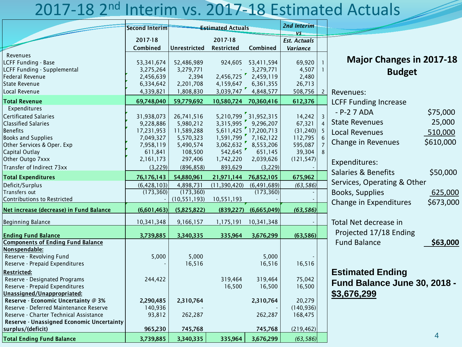### 2017-18 2<sup>nd</sup> Interim vs. 2017-18 Estimated Actuals

|                                           | <b>Second Interim</b> | <b>Estimated Actuals</b> |                       |                       | 2nd Interim         |                |                                     |  |  |
|-------------------------------------------|-----------------------|--------------------------|-----------------------|-----------------------|---------------------|----------------|-------------------------------------|--|--|
|                                           | 2017-18               |                          | 2017-18               |                       | VS                  |                |                                     |  |  |
|                                           | Combined              |                          | Restricted            | Combined              | <b>Est. Actuals</b> |                |                                     |  |  |
|                                           |                       | <b>Unrestricted</b>      |                       |                       | <b>Variance</b>     |                |                                     |  |  |
| Revenues<br>LCFF Funding - Base           | 53, 341, 674          | 52,486,989               |                       | 924,605 53,411,594    | 69,920              |                | <b>Major Changes in 2017-18</b>     |  |  |
| LCFF Funding - Supplemental               | 3,275,264             | 3,279,771                |                       | 3,279,771             | 4,507               |                |                                     |  |  |
| <b>Federal Revenue</b>                    | 2,456,639             | 2,394                    | 2,456,725             | 2,459,119             | 2,480               |                | <b>Budget</b>                       |  |  |
| State Revenue                             | 6,334,642             | 2,201,708                | 4,159,647             | 6,361,355             | 26,713              |                |                                     |  |  |
| Local Revenue                             | 4,339,821             | 1,808,830                | 3,039,747             | 4,848,577             | 508,756             | $\overline{2}$ | Revenues:                           |  |  |
| <b>Total Revenue</b>                      | 69,748,040            | 59,779,692               |                       | 10,580,724 70,360,416 | 612,376             |                | <b>LCFF Funding Increase</b>        |  |  |
| Expenditures                              |                       |                          |                       |                       |                     |                |                                     |  |  |
| Certificated Salaries                     | 31,938,073            | 26,741,516               |                       | 5,210,799 31,952,315  | 14,242              | 3              | - P-2 7 ADA<br>\$75,000             |  |  |
| <b>Classified Salaries</b>                | 9,228,886             | 5,980,212                | 3,315,995             | 9,296,207             | 67,321              | $\overline{4}$ | 25,000<br><b>State Revenues</b>     |  |  |
| Benefits                                  | 17,231,953            | 11,589,288               |                       | 5,611,425 17,200,713  | (31, 240)           |                | 510,000<br><b>Local Revenues</b>    |  |  |
| <b>Books and Supplies</b>                 | 7,049,327             | 5,570,323                |                       | 1,591,799 7,162,122   | 112,795             | 6              |                                     |  |  |
| Other Services & Oper. Exp                | 7,958,119             | 5,490,574                | 3,062,632             | 8,553,206             | 595,087             |                | \$610,000<br>Change in Revenues     |  |  |
| Capital Outlay                            | 611,841               | 108,500                  | 542,645               | 651,145               | 39,304              | 8              |                                     |  |  |
| Other Outgo 7xxx                          | 2,161,173             | 297,406                  | 1,742,220             | 2,039,626             | (121, 547)          |                |                                     |  |  |
| Transfer of Indirect 73xx                 | (3,229)               | (896, 858)               | 893,629               | (3,229)               |                     |                | Expenditures:                       |  |  |
| <b>Total Expenditures</b>                 | 76,176,143            | 54,880,961               | 21,971,144 76,852,105 |                       | 675,962             |                | Salaries & Benefits<br>\$50,000     |  |  |
| Deficit/Surplus                           | (6, 428, 103)         | 4,898,731                | (11,390,420)          | (6, 491, 689)         | (63, 586)           |                | Services, Operating & Other         |  |  |
| Transfers out                             | (173, 360)            | (173, 360)               |                       | (173, 360)            |                     |                | Books, Supplies<br>625,000          |  |  |
| Contributions to Restricted               |                       | (10, 551, 193)           | 10,551,193            |                       |                     |                |                                     |  |  |
|                                           |                       |                          |                       |                       |                     |                | Change in Expenditures<br>\$673,000 |  |  |
| Net increase (decrease) in Fund Balance   | (6,601,463)           | (5,825,822)              | (839, 227)            | (6,665,049)           | (63, 586)           |                |                                     |  |  |
| <b>Beginning Balance</b>                  | 10,341,348            | 9,166,157                | 1,175,191             | 10,341,348            |                     |                | Total Net decrease in               |  |  |
| <b>Ending Fund Balance</b>                | 3,739,885             | 3,340,335                | 335,964               | 3,676,299             | (63,586)            |                | Projected 17/18 Ending              |  |  |
| <b>Components of Ending Fund Balance</b>  |                       |                          |                       |                       |                     |                | <b>Fund Balance</b><br>\$63,000     |  |  |
| Nonspendable:                             |                       |                          |                       |                       |                     |                |                                     |  |  |
| Reserve - Revolving Fund                  | 5,000                 | 5,000                    |                       | 5,000                 |                     |                |                                     |  |  |
| Reserve - Prepaid Expenditures            |                       | 16,516                   |                       | 16,516                | 16,516              |                |                                     |  |  |
| <b>Restricted:</b>                        |                       |                          |                       |                       |                     |                | <b>Estimated Ending</b>             |  |  |
| Reserve - Designated Programs             | 244,422               |                          | 319,464               | 319,464               | 75,042              |                |                                     |  |  |
| Reserve - Prepaid Expenditures            |                       |                          | 16,500                | 16,500                | 16,500              |                | Fund Balance June 30, 2018 -        |  |  |
| Unassigned/Unappropriated:                |                       |                          |                       |                       |                     |                | \$3,676,299                         |  |  |
| Reserve - Economic Uncertainty @ 3%       | 2,290,485             | 2,310,764                |                       | 2,310,764             | 20,279              |                |                                     |  |  |
| Reserve - Deferred Maintenance Reserve    | 140,936               |                          |                       |                       | (140, 936)          |                |                                     |  |  |
| Reserve - Charter Technical Assistance    | 93,812                | 262,287                  |                       | 262,287               | 168,475             |                |                                     |  |  |
| Reserve - Unassigned Economic Uncertainty |                       |                          |                       |                       |                     |                |                                     |  |  |
| surplus/(deficit)                         | 965,230               | 745,768                  |                       | 745,768               | (219, 462)          |                |                                     |  |  |
| <b>Total Ending Fund Balance</b>          | 3,739,885             | 3,340,335                | 335,964               | 3,676,299             | (63, 586)           |                | 4                                   |  |  |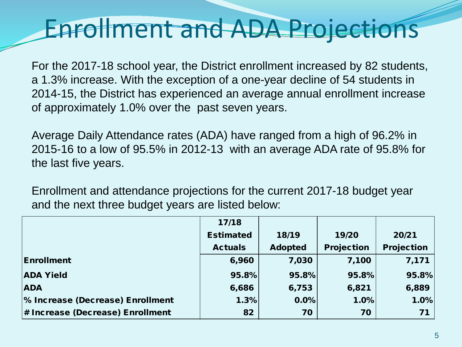# Enrollment and ADA Projections

For the 2017-18 school year, the District enrollment increased by 82 students, a 1.3% increase. With the exception of a one-year decline of 54 students in 2014-15, the District has experienced an average annual enrollment increase of approximately 1.0% over the past seven years.

Average Daily Attendance rates (ADA) have ranged from a high of 96.2% in 2015-16 to a low of 95.5% in 2012-13 with an average ADA rate of 95.8% for the last five years.

Enrollment and attendance projections for the current 2017-18 budget year and the next three budget years are listed below:

|                                  | 17/18            |                |                   |                   |
|----------------------------------|------------------|----------------|-------------------|-------------------|
|                                  | <b>Estimated</b> | 18/19          | 19/20             | 20/21             |
|                                  | <b>Actuals</b>   | <b>Adopted</b> | <b>Projection</b> | <b>Projection</b> |
| <b>Enrollment</b>                | 6,960            | 7,030          | 7,100             | 7,171             |
| <b>ADA Yield</b>                 | 95.8%            | 95.8%          | 95.8%             | 95.8%             |
| <b>ADA</b>                       | 6,686            | 6,753          | 6,821             | 6,889             |
| % Increase (Decrease) Enrollment | 1.3%             | 0.0%           | 1.0%              | 1.0%              |
| # Increase (Decrease) Enrollment | 82               | 70             | 70                | 71                |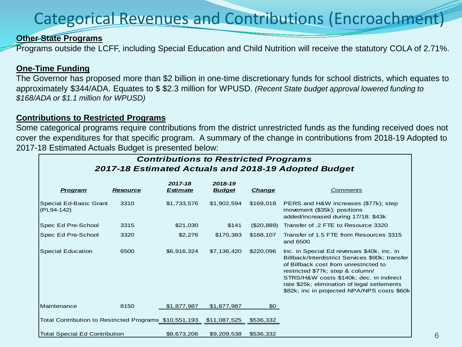### Categorical Revenues and Contributions (Encroachment)

#### **Other State Programs**

Programs outside the LCFF, including Special Education and Child Nutrition will receive the statutory COLA of 2.71%.

#### **One-Time Funding**

The Governor has proposed more than \$2 billion in one-time discretionary funds for school districts, which equates to approximately \$344/ADA. Equates to \$ \$2.3 million for WPUSD. *(Recent State budget approval lowered funding to \$168/ADA or \$1.1 million for WPUSD)*

#### **Contributions to Restricted Programs**

Some categorical programs require contributions from the district unrestricted funds as the funding received does not cover the expenditures for that specific program. A summary of the change in contributions from 2018-19 Adopted to 2017-18 Estimated Actuals Budget is presented below:

| <b>Contributions to Restricted Programs</b> |                 |                            |                          |            |                                                                                                                                                                                                                                                                                                                     |  |  |  |  |
|---------------------------------------------|-----------------|----------------------------|--------------------------|------------|---------------------------------------------------------------------------------------------------------------------------------------------------------------------------------------------------------------------------------------------------------------------------------------------------------------------|--|--|--|--|
|                                             |                 |                            |                          |            | 2017-18 Estimated Actuals and 2018-19 Adopted Budget                                                                                                                                                                                                                                                                |  |  |  |  |
| Program                                     | <b>Resource</b> | 2017-18<br><b>Estimate</b> | 2018-19<br><b>Budget</b> | Change     | Comments                                                                                                                                                                                                                                                                                                            |  |  |  |  |
| Special Ed-Basic Grant<br>(PL94-142)        | 3310            | \$1,733,576                | \$1,902,594              | \$169,018  | PERS and H&W increases (\$77k); step<br>movement (\$35k); positions<br>added/increased during 17/18: \$43k                                                                                                                                                                                                          |  |  |  |  |
| Spec Ed Pre-School                          | 3315            | \$21,030                   | \$141                    | (\$20,889) | Transfer of .2 FTE to Resource 3320                                                                                                                                                                                                                                                                                 |  |  |  |  |
| Spec Ed Pre-School                          | 3320            | \$2,276                    | \$170,383                | \$168,107  | Transfer of 1.5 FTE from Resources 3315<br>and 6500                                                                                                                                                                                                                                                                 |  |  |  |  |
| <b>Special Education</b>                    | 6500            | \$6,916,324                | \$7,136,420              | \$220,096  | Inc. in Special Ed revenues \$40k, inc. in<br>Billback/Interdistrict Services \$90k; transfer<br>of Billback cost from unrestricted to<br>restricted \$77k; step & column/<br>STRS/H&W costs \$140k; dec. in indirect<br>rate \$25k; elimination of legal setlements<br>\$82k; inc in projected NPA/NPS costs \$60k |  |  |  |  |
| Maintenance                                 | 8150            | \$1,877,987                | \$1,877,987              | \$0        |                                                                                                                                                                                                                                                                                                                     |  |  |  |  |
|                                             |                 |                            |                          | \$536,332  |                                                                                                                                                                                                                                                                                                                     |  |  |  |  |
| <b>Total Special Ed Contribution</b>        |                 | \$8,673,206                | \$9,209,538              | \$536,332  |                                                                                                                                                                                                                                                                                                                     |  |  |  |  |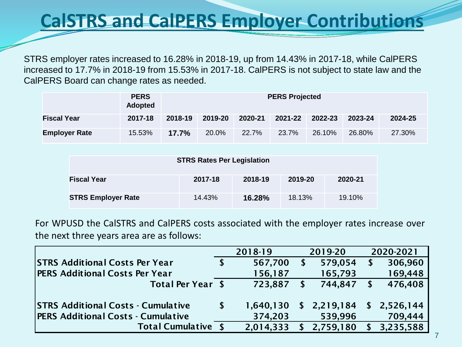## **CalSTRS and CalPERS Employer Contributions**

STRS employer rates increased to 16.28% in 2018-19, up from 14.43% in 2017-18, while CalPERS increased to 17.7% in 2018-19 from 15.53% in 2017-18. CalPERS is not subject to state law and the CalPERS Board can change rates as needed.

|                      | <b>PERS</b><br><b>Adopted</b> | <b>PERS Projected</b> |         |         |         |         |         |         |  |  |
|----------------------|-------------------------------|-----------------------|---------|---------|---------|---------|---------|---------|--|--|
| <b>Fiscal Year</b>   | 2017-18                       | 2018-19               | 2019-20 | 2020-21 | 2021-22 | 2022-23 | 2023-24 | 2024-25 |  |  |
| <b>Employer Rate</b> | 15.53%                        | $17.7\%$              | 20.0%   | 22.7%   | 23.7%   | 26.10%  | 26.80%  | 27.30%  |  |  |

| <b>STRS Rates Per Legislation</b> |         |         |         |         |  |  |  |  |  |  |
|-----------------------------------|---------|---------|---------|---------|--|--|--|--|--|--|
| <b>Fiscal Year</b>                | 2017-18 | 2018-19 | 2019-20 | 2020-21 |  |  |  |  |  |  |
| <b>STRS Employer Rate</b>         | 14.43%  | 16.28%  | 18.13%  | 19.10%  |  |  |  |  |  |  |

For WPUSD the CalSTRS and CalPERS costs associated with the employer rates increase over the next three years area are as follows:

|                                           | 2018-19   |  | 2019-20     | 2020-2021 |             |  |
|-------------------------------------------|-----------|--|-------------|-----------|-------------|--|
| <b>STRS Additional Costs Per Year</b>     | 567,700   |  | 579,054     | \$        | 306,960     |  |
| <b>PERS Additional Costs Per Year</b>     | 156,187   |  | 165,793     |           | 169,448     |  |
| Total Per Year \$                         | 723,887   |  | 744,847     |           | 476,408     |  |
|                                           |           |  |             |           |             |  |
| <b>STRS Additional Costs - Cumulative</b> | 1,640,130 |  | \$2,219,184 |           | \$2,526,144 |  |
| <b>PERS Additional Costs - Cumulative</b> | 374,203   |  | 539,996     |           | 709,444     |  |
| <b>Total Cumulative</b>                   | 2,014,333 |  | 2,759,180   |           | 3,235,588   |  |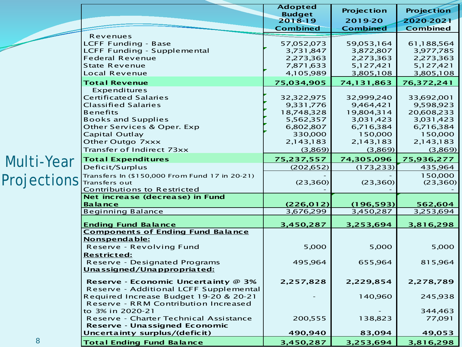|             |                                                                | <b>Adopted</b>           | Projection              | Projection      |
|-------------|----------------------------------------------------------------|--------------------------|-------------------------|-----------------|
|             |                                                                | <b>Budget</b><br>2018-19 | 2019-20                 | 2020-2021       |
|             |                                                                | <b>Combined</b>          | <b>Combined</b>         | <b>Combined</b> |
|             | Revenues                                                       |                          |                         |                 |
|             | LCFF Funding - Base                                            | 57,052,073               | 59,053,164              | 61,188,564      |
|             | LCFF Funding - Supplemental                                    | 3,731,847                | 3,872,807               | 3,977,785       |
|             | <b>Federal Revenue</b>                                         | 2,273,363                | 2,273,363               | 2,273,363       |
|             | <b>State Revenue</b>                                           | 7,871,633                | 5,127,421               | 5,127,421       |
|             | Local Revenue                                                  | 4,105,989                | 3,805,108               | 3,805,108       |
|             | <b>Total Revenue</b>                                           | 75,034,905               | 74,131,863              | 76,372,241      |
|             | Expenditures                                                   |                          |                         |                 |
|             | <b>Certificated Salaries</b>                                   | 32,322,975               | 32,999,240              | 33,692,001      |
|             | <b>Classified Salaries</b>                                     | 9,331,776                | 9,464,421               | 9,598,923       |
|             | <b>Benefits</b>                                                | 18,748,328               | 19,804,314              | 20,608,233      |
|             | <b>Books and Supplies</b>                                      | 5,562,357                | 3,031,423               | 3,031,423       |
|             | Other Services & Oper. Exp                                     | 6,802,807                | 6,716,384               | 6,716,384       |
|             | Capital Outlay                                                 | 330,000                  | 150,000                 | 150,000         |
|             | Other Outgo 7xxx                                               | 2,143,183                | 2, 143, 183             | 2, 143, 183     |
|             | Transfer of Indirect 73xx                                      | (3,869)                  | (3,869)                 | (3,869)         |
| Multi-Year  | <b>Total Expenditures</b>                                      | 75,237,557               | 74,305,096              | 75,936,277      |
|             | Deficit/Surplus                                                | (202, 652)               | (173,233)               | 435,964         |
|             | Transfers In (\$150,000 From Fund 17 in 20-21)                 |                          |                         | 150,000         |
| Projections | Transfers out                                                  | (23,360)                 | (23,360)                | (23,360)        |
|             | Contributions to Restricted                                    |                          |                         |                 |
|             | Net increase (decrease) in Fund<br><b>Balance</b>              | (226, 012)               |                         | 562,604         |
|             | <b>Beginning Balance</b>                                       | 3,676,299                | (196, 593)<br>3,450,287 | 3,253,694       |
|             |                                                                |                          |                         |                 |
|             | <b>Ending Fund Balance</b>                                     | 3,450,287                | 3,253,694               | 3,816,298       |
|             | <b>Components of Ending Fund Balance</b>                       |                          |                         |                 |
|             | Nonspendable:                                                  |                          |                         |                 |
|             | Reserve - Revolving Fund                                       | 5,000                    | 5,000                   | 5,000           |
|             | <b>Restricted:</b>                                             |                          |                         |                 |
|             | Reserve - Designated Programs                                  | 495,964                  | 655,964                 | 815,964         |
|             | Unassigned/Unappropriated:                                     |                          |                         |                 |
|             | Reserve - Economic Uncertainty @ 3%                            | 2,257,828                | 2,229,854               | 2,278,789       |
|             | Reserve - Additional LCFF Supplemental                         |                          |                         |                 |
|             | Required Increase Budget 19-20 & 20-21                         |                          | 140,960                 | 245,938         |
|             | Reserve - RRM Contribution Increased                           |                          |                         |                 |
|             | to 3% in 2020-21                                               |                          |                         | 344,463         |
|             | Reserve - Charter Technical Assistance                         | 200,555                  | 138,823                 | 77,091          |
|             | Reserve - Unassigned Economic<br>Uncertainty surplus/(deficit) | 490,940                  |                         |                 |
| 8           |                                                                |                          | 83,094                  | 49,053          |
|             | <b>Total Ending Fund Balance</b>                               | 3,450,287                | 3,253,694               | 3,816,298       |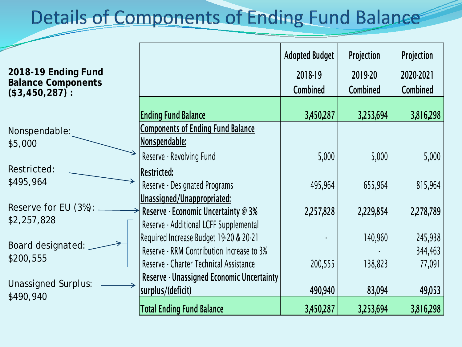### **Details of Components of Ending Fund Balance**

| 2018-19 Ending Fund<br><b>Balance Components</b><br>(\$3,450,287): |                                                                               | <b>Adopted Budget</b><br>2018-19<br>Combined | Projection<br>2019-20<br>Combined | Projection<br>2020-2021<br>Combined |
|--------------------------------------------------------------------|-------------------------------------------------------------------------------|----------------------------------------------|-----------------------------------|-------------------------------------|
|                                                                    | <b>Ending Fund Balance</b>                                                    | 3,450,287                                    | 3,253,694                         | 3,816,298                           |
| Nonspendable:<br>\$5,000                                           | <b>Components of Ending Fund Balance</b><br>Nonspendable:                     |                                              |                                   |                                     |
|                                                                    | Reserve - Revolving Fund                                                      | 5,000                                        | 5,000                             | 5,000                               |
| Restricted:                                                        | <b>Restricted:</b>                                                            |                                              |                                   |                                     |
| \$495,964                                                          | <b>Reserve - Designated Programs</b>                                          | 495,964                                      | 655,964                           | 815,964                             |
|                                                                    | Unassigned/Unappropriated:                                                    |                                              |                                   |                                     |
| Reserve for EU (3%): -<br>\$2,257,828                              | Reserve - Economic Uncertainty @ 3%<br>Reserve - Additional LCFF Supplemental | 2,257,828                                    | 2,229,854                         | 2,278,789                           |
|                                                                    | Required Increase Budget 19-20 & 20-21                                        |                                              | 140,960                           | 245,938                             |
| Board designated:                                                  | Reserve - RRM Contribution Increase to 3%                                     |                                              |                                   | 344,463                             |
| \$200,555                                                          | Reserve - Charter Technical Assistance                                        | 200,555                                      | 138,823                           | 77,091                              |
| <b>Unassigned Surplus:</b><br>\$490,940                            | Reserve - Unassigned Economic Uncertainty<br>surplus/(deficit)                | 490,940                                      | 83,094                            | 49,053                              |
|                                                                    | <b>Total Ending Fund Balance</b>                                              | 3,450,287                                    | 3,253,694                         | 3,816,298                           |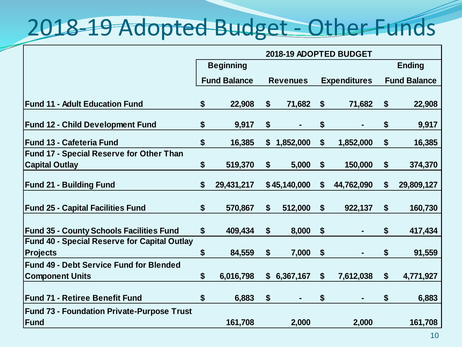## 2018-19 Adopted Budget - Other Funds

| 2018-19 ADOPTED BUDGET                              |            |                                          |           |                                       |                   |                     |               |  |
|-----------------------------------------------------|------------|------------------------------------------|-----------|---------------------------------------|-------------------|---------------------|---------------|--|
| <b>Beginning</b>                                    |            |                                          |           |                                       |                   |                     | <b>Ending</b> |  |
|                                                     |            | <b>Revenues</b>                          |           | <b>Expenditures</b>                   |                   | <b>Fund Balance</b> |               |  |
|                                                     |            |                                          |           |                                       |                   |                     |               |  |
|                                                     |            |                                          |           |                                       |                   |                     | 22,908        |  |
| \$                                                  | 9,917      | \$                                       |           | \$                                    |                   | \$                  | 9,917         |  |
| \$                                                  | 16,385     |                                          | 1,852,000 | \$                                    | 1,852,000         | \$                  | 16,385        |  |
|                                                     |            |                                          |           |                                       |                   |                     |               |  |
| \$                                                  | 519,370    | \$                                       | 5,000     | \$                                    | 150,000           | \$                  | 374,370       |  |
| \$                                                  | 29,431,217 |                                          |           | \$                                    | 44,762,090        | \$                  | 29,809,127    |  |
| \$                                                  | 570,867    | \$                                       | 512,000   | $\boldsymbol{\$}$                     | 922,137           | \$                  | 160,730       |  |
| \$                                                  | 409,434    | \$                                       | 8,000     | $\boldsymbol{\$}$                     |                   | \$                  | 417,434       |  |
| \$                                                  | 84,559     | \$                                       | 7,000     | $\boldsymbol{\$}$                     |                   | \$                  | 91,559        |  |
|                                                     |            |                                          |           |                                       |                   |                     |               |  |
| \$                                                  | 6,016,798  | \$                                       | 6,367,167 | \$                                    | 7,612,038         | \$                  | 4,771,927     |  |
| \$                                                  | 6,883      | \$                                       |           | \$                                    |                   | \$                  | 6,883         |  |
|                                                     |            |                                          |           |                                       |                   |                     | 161,708       |  |
| <b>Fund 40 - Special Reserve for Capital Outlay</b> | \$         | <b>Fund Balance</b><br>22,908<br>161,708 | \$        | 71,682<br>\$<br>\$45,140,000<br>2,000 | $\boldsymbol{\$}$ | 71,682<br>2,000     | \$            |  |